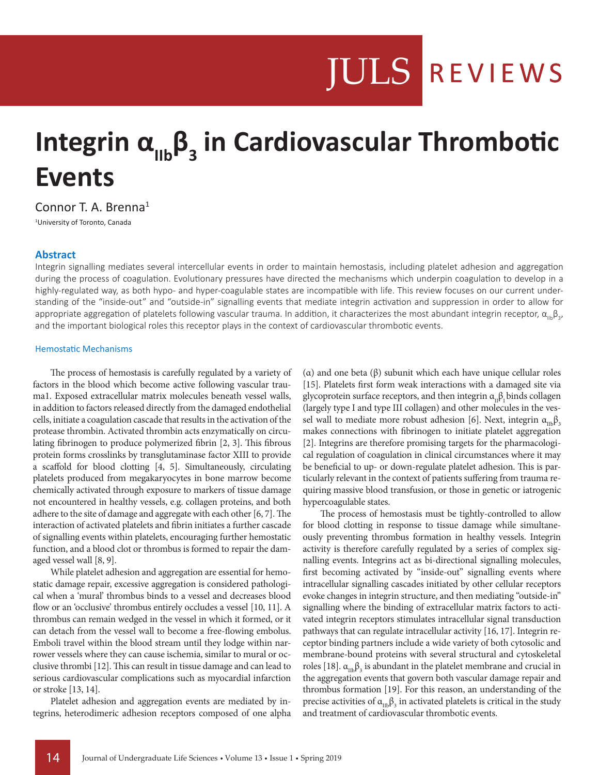# **JULS REVIEWS**

# Integrin α<sub>IIb</sub>β<sub>3</sub> in Cardiovascular Thrombotic **Events**

Connor T. A. Brenna<sup>1</sup>

1 University of Toronto, Canada

# **Abstract**

Integrin signalling mediates several intercellular events in order to maintain hemostasis, including platelet adhesion and aggregation during the process of coagulation. Evolutionary pressures have directed the mechanisms which underpin coagulation to develop in a highly-regulated way, as both hypo- and hyper-coagulable states are incompatible with life. This review focuses on our current understanding of the "inside-out" and "outside-in" signalling events that mediate integrin activation and suppression in order to allow for appropriate aggregation of platelets following vascular trauma. In addition, it characterizes the most abundant integrin receptor,  $\alpha_{_{\sf lib}}\beta_{_3}$ , and the important biological roles this receptor plays in the context of cardiovascular thrombotic events.

#### Hemostatic Mechanisms

The process of hemostasis is carefully regulated by a variety of factors in the blood which become active following vascular trauma1. Exposed extracellular matrix molecules beneath vessel walls, in addition to factors released directly from the damaged endothelial cells, initiate a coagulation cascade that results in the activation of the protease thrombin. Activated thrombin acts enzymatically on circulating fibrinogen to produce polymerized fibrin [2, 3]. This fibrous protein forms crosslinks by transglutaminase factor XIII to provide a scaffold for blood clotting [4, 5]. Simultaneously, circulating platelets produced from megakaryocytes in bone marrow become chemically activated through exposure to markers of tissue damage not encountered in healthy vessels, e.g. collagen proteins, and both adhere to the site of damage and aggregate with each other [6, 7]. The interaction of activated platelets and fibrin initiates a further cascade of signalling events within platelets, encouraging further hemostatic function, and a blood clot or thrombus is formed to repair the damaged vessel wall [8, 9].

While platelet adhesion and aggregation are essential for hemostatic damage repair, excessive aggregation is considered pathological when a 'mural' thrombus binds to a vessel and decreases blood flow or an 'occlusive' thrombus entirely occludes a vessel [10, 11]. A thrombus can remain wedged in the vessel in which it formed, or it can detach from the vessel wall to become a free-flowing embolus. Emboli travel within the blood stream until they lodge within narrower vessels where they can cause ischemia, similar to mural or occlusive thrombi [12]. This can result in tissue damage and can lead to serious cardiovascular complications such as myocardial infarction or stroke [13, 14].

Platelet adhesion and aggregation events are mediated by integrins, heterodimeric adhesion receptors composed of one alpha (α) and one beta (β) subunit which each have unique cellular roles [15]. Platelets first form weak interactions with a damaged site via glycoprotein surface receptors, and then integrin  $\alpha_{\mu} \beta_1$  binds collagen (largely type I and type III collagen) and other molecules in the vessel wall to mediate more robust adhesion [6]. Next, integrin  $\alpha_{\text{m}}\beta_3$ makes connections with fibrinogen to initiate platelet aggregation [2]. Integrins are therefore promising targets for the pharmacological regulation of coagulation in clinical circumstances where it may be beneficial to up- or down-regulate platelet adhesion. This is particularly relevant in the context of patients suffering from trauma requiring massive blood transfusion, or those in genetic or iatrogenic hypercoagulable states.

The process of hemostasis must be tightly-controlled to allow for blood clotting in response to tissue damage while simultaneously preventing thrombus formation in healthy vessels. Integrin activity is therefore carefully regulated by a series of complex signalling events. Integrins act as bi-directional signalling molecules, first becoming activated by "inside-out" signalling events where intracellular signalling cascades initiated by other cellular receptors evoke changes in integrin structure, and then mediating "outside-in" signalling where the binding of extracellular matrix factors to activated integrin receptors stimulates intracellular signal transduction pathways that can regulate intracellular activity [16, 17]. Integrin receptor binding partners include a wide variety of both cytosolic and membrane-bound proteins with several structural and cytoskeletal roles [18].  $\alpha_{\text{IIB}}\beta_3$  is abundant in the platelet membrane and crucial in the aggregation events that govern both vascular damage repair and thrombus formation [19]. For this reason, an understanding of the precise activities of  $\alpha_{\text{IIB}}\beta_3$  in activated platelets is critical in the study and treatment of cardiovascular thrombotic events.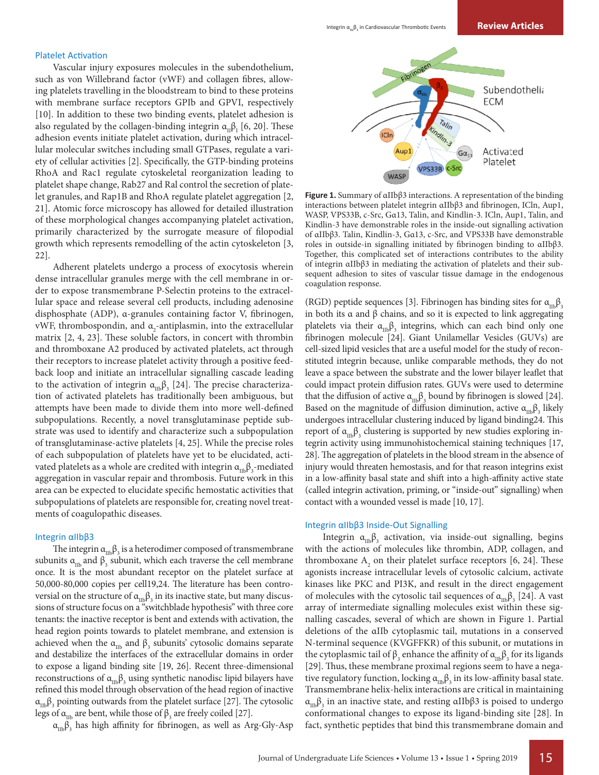#### Platelet Activation

Vascular injury exposures molecules in the subendothelium, such as von Willebrand factor (vWF) and collagen fibres, allowing platelets travelling in the bloodstream to bind to these proteins with membrane surface receptors GPIb and GPVI, respectively [10]. In addition to these two binding events, platelet adhesion is also regulated by the collagen-binding integrin  $\alpha_{\text{II}}^{\text{}}\beta_{\text{I}}^{\text{}}$  [6, 20]. These adhesion events initiate platelet activation, during which intracellular molecular switches including small GTPases, regulate a variety of cellular activities [2]. Specifically, the GTP-binding proteins RhoA and Rac1 regulate cytoskeletal reorganization leading to platelet shape change, Rab27 and Ral control the secretion of platelet granules, and Rap1B and RhoA regulate platelet aggregation [2, 21]. Atomic force microscopy has allowed for detailed illustration of these morphological changes accompanying platelet activation, primarily characterized by the surrogate measure of filopodial growth which represents remodelling of the actin cytoskeleton [3, 22].

Adherent platelets undergo a process of exocytosis wherein dense intracellular granules merge with the cell membrane in order to expose transmembrane P-Selectin proteins to the extracellular space and release several cell products, including adenosine disphosphate (ADP), α-granules containing factor V, fibrinogen, vWF, thrombospondin, and  $\alpha_{2}$ -antiplasmin, into the extracellular matrix [2, 4, 23]. These soluble factors, in concert with thrombin and thromboxane A2 produced by activated platelets, act through their receptors to increase platelet activity through a positive feedback loop and initiate an intracellular signalling cascade leading to the activation of integrin  $\alpha_{\text{IIb}}\beta_{3}$  [24]. The precise characterization of activated platelets has traditionally been ambiguous, but attempts have been made to divide them into more well-defined subpopulations. Recently, a novel transglutaminase peptide substrate was used to identify and characterize such a subpopulation of transglutaminase-active platelets [4, 25]. While the precise roles of each subpopulation of platelets have yet to be elucidated, activated platelets as a whole are credited with integrin  $\alpha_{_{\text{IIB}}} \beta_{_3}$ -mediated aggregation in vascular repair and thrombosis. Future work in this area can be expected to elucidate specific hemostatic activities that subpopulations of platelets are responsible for, creating novel treatments of coagulopathic diseases.

# Integrin αIIbβ3

The integrin  $\alpha_{\text{m}}\beta_3$  is a heterodimer composed of transmembrane subunits  $\alpha_{\text{IIb}}$  and  $\beta_{3}$  subunit, which each traverse the cell membrane once. It is the most abundant receptor on the platelet surface at 50,000-80,000 copies per cell19,24. The literature has been controversial on the structure of  $\alpha_{\text{IIb}}\beta_3$  in its inactive state, but many discussions of structure focus on a "switchblade hypothesis" with three core tenants: the inactive receptor is bent and extends with activation, the head region points towards to platelet membrane, and extension is achieved when the  $\alpha_{\text{ID}}$  and  $\beta_{3}$  subunits' cytosolic domains separate and destabilize the interfaces of the extracellular domains in order to expose a ligand binding site [19, 26]. Recent three-dimensional reconstructions of  $\alpha_{\rm In}\beta_3$  using synthetic nanodisc lipid bilayers have refined this model through observation of the head region of inactive  $\alpha_{\rm m}$  $\beta_{\rm s}$  pointing outwards from the platelet surface [27]. The cytosolic legs of  $\alpha_{\text{lib}}$  are bent, while those of  $\beta_{3}$  are freely coiled [27].

 $\alpha_{\rm mb} \beta_{\rm 3}$  has high affinity for fibrinogen, as well as Arg-Gly-Asp



**Figure 1.** Summary of αIIbβ3 interactions. A representation of the binding interactions between platelet integrin αIIbβ3 and fibrinogen, ICln, Aup1, WASP, VPS33B, c-Src, Gα13, Talin, and Kindlin-3. ICln, Aup1, Talin, and Kindlin-3 have demonstrable roles in the inside-out signalling activation of αIIbβ3. Talin, Kindlin-3, Gα13, c-Src, and VPS33B have demonstrable roles in outside-in signalling initiated by fibrinogen binding to αIIbβ3. Together, this complicated set of interactions contributes to the ability of integrin αIIbβ3 in mediating the activation of platelets and their subsequent adhesion to sites of vascular tissue damage in the endogenous coagulation response.

(RGD) peptide sequences [3]. Fibrinogen has binding sites for  $\alpha_{\rm mb} \beta_3$ in both its α and β chains, and so it is expected to link aggregating platelets via their  $\alpha_{\text{IIb}}\beta_{3}$  integrins, which can each bind only one fibrinogen molecule [24]. Giant Unilamellar Vesicles (GUVs) are cell-sized lipid vesicles that are a useful model for the study of reconstituted integrin because, unlike comparable methods, they do not leave a space between the substrate and the lower bilayer leaflet that could impact protein diffusion rates. GUVs were used to determine that the diffusion of active  $\alpha_{\text{ID}}\beta_3$  bound by fibrinogen is slowed [24]. Based on the magnitude of diffusion diminution, active  $\alpha_{\text{\tiny{IIB}}}\beta_{_3}$  likely undergoes intracellular clustering induced by ligand binding24. This report of  $\alpha_{\rm mb} \beta_{\rm 3}$  clustering is supported by new studies exploring integrin activity using immunohistochemical staining techniques [17, 28]. The aggregation of platelets in the blood stream in the absence of injury would threaten hemostasis, and for that reason integrins exist in a low-affinity basal state and shift into a high-affinity active state (called integrin activation, priming, or "inside-out" signalling) when contact with a wounded vessel is made [10, 17].

#### Integrin αIIbβ3 Inside-Out Signalling

Integrin  $\alpha_{\text{IIB}}\beta_3$  activation, via inside-out signalling, begins with the actions of molecules like thrombin, ADP, collagen, and thromboxane  $A_2$  on their platelet surface receptors [6, 24]. These agonists increase intracellular levels of cytosolic calcium, activate kinases like PKC and PI3K, and result in the direct engagement of molecules with the cytosolic tail sequences of  $\alpha_{\text{m}}\beta_{3}$  [24]. A vast array of intermediate signalling molecules exist within these signalling cascades, several of which are shown in Figure 1. Partial deletions of the αIIb cytoplasmic tail, mutations in a conserved N-terminal sequence (KVGFFKR) of this subunit, or mutations in the cytoplasmic tail of  $\beta_3$  enhance the affinity of  $\alpha_{\text{IIb}}\beta_3$  for its ligands [29]. Thus, these membrane proximal regions seem to have a negative regulatory function, locking  $\alpha_{\rm Inb}\beta_3$  in its low-affinity basal state. Transmembrane helix-helix interactions are critical in maintaining  $α<sub>IIb</sub>β<sub>3</sub>$  in an inactive state, and resting αIIbβ3 is poised to undergo conformational changes to expose its ligand-binding site [28]. In fact, synthetic peptides that bind this transmembrane domain and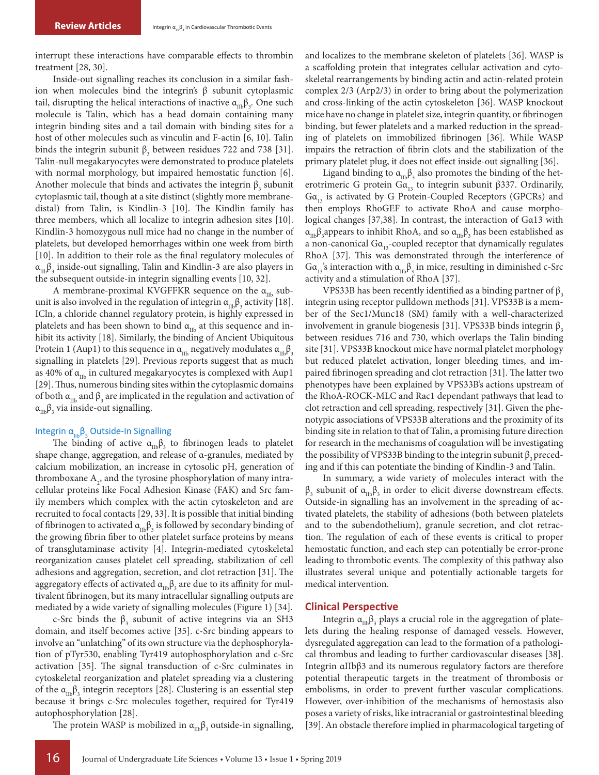interrupt these interactions have comparable effects to thrombin treatment [28, 30].

Inside-out signalling reaches its conclusion in a similar fashion when molecules bind the integrin's β subunit cytoplasmic tail, disrupting the helical interactions of inactive  $\alpha_{\text{_{ID}}}\beta_{\text{3}}$ . One such molecule is Talin, which has a head domain containing many integrin binding sites and a tail domain with binding sites for a host of other molecules such as vinculin and F-actin [6, 10]. Talin binds the integrin subunit  $\beta_3$  between residues 722 and 738 [31]. Talin-null megakaryocytes were demonstrated to produce platelets with normal morphology, but impaired hemostatic function [6]. Another molecule that binds and activates the integrin  $\beta_3$  subunit cytoplasmic tail, though at a site distinct (slightly more membranedistal) from Talin, is Kindlin-3 [10]. The Kindlin family has three members, which all localize to integrin adhesion sites [10]. Kindlin-3 homozygous null mice had no change in the number of platelets, but developed hemorrhages within one week from birth [10]. In addition to their role as the final regulatory molecules of  $\alpha_{_{\rm IIB}} \beta_{_3}$  inside-out signalling, Talin and Kindlin-3 are also players in the subsequent outside-in integrin signalling events [10, 32].

A membrane-proximal KVGFFKR sequence on the  $\alpha_{\text{m}}$  subunit is also involved in the regulation of integrin  $\alpha_{\text{ID}}\beta_{\text{3}}$  activity [18]. ICln, a chloride channel regulatory protein, is highly expressed in platelets and has been shown to bind  $\alpha_{\text{IIb}}$  at this sequence and inhibit its activity [18]. Similarly, the binding of Ancient Ubiquitous Protein 1 (Aup1) to this sequence in  $\alpha_{\text{IIb}}$  negatively modulates  $\alpha_{\text{IIb}}\beta_3$ signalling in platelets [29]. Previous reports suggest that as much as 40% of  $\alpha_{\text{th}}$  in cultured megakaryocytes is complexed with Aup1 [29]. Thus, numerous binding sites within the cytoplasmic domains of both  $\alpha_{\text{m}}$  and  $\beta_{3}$  are implicated in the regulation and activation of  $\alpha_{\text{IIb}} \beta_{\text{3}}$  via inside-out signalling.

### Integrin  $\alpha_{\mu} \beta$ , Outside-In Signalling

The binding of active  $\alpha_{\text{IIb}}\beta_{3}$  to fibrinogen leads to platelet shape change, aggregation, and release of α-granules, mediated by calcium mobilization, an increase in cytosolic pH, generation of thromboxane  $A_2$ , and the tyrosine phosphorylation of many intracellular proteins like Focal Adhesion Kinase (FAK) and Src family members which complex with the actin cytoskeleton and are recruited to focal contacts [29, 33]. It is possible that initial binding of fibrinogen to activated  $\alpha_{\rm In}\beta_{\rm 3}$  is followed by secondary binding of the growing fibrin fiber to other platelet surface proteins by means of transglutaminase activity [4]. Integrin-mediated cytoskeletal reorganization causes platelet cell spreading, stabilization of cell adhesions and aggregation, secretion, and clot retraction [31]. The aggregatory effects of activated  $\alpha_{\text{\tiny{IIB}}} \beta_{_3}$  are due to its affinity for multivalent fibrinogen, but its many intracellular signalling outputs are mediated by a wide variety of signalling molecules (Figure 1) [34].

c-Src binds the  $\beta_3$  subunit of active integrins via an SH3 domain, and itself becomes active [35]. c-Src binding appears to involve an "unlatching" of its own structure via the dephosphorylation of pTyr530, enabling Tyr419 autophosphorylation and c-Src activation [35]. The signal transduction of c-Src culminates in cytoskeletal reorganization and platelet spreading via a clustering of the  $\alpha_{\text{IIb}}\beta_3$  integrin receptors [28]. Clustering is an essential step because it brings c-Src molecules together, required for Tyr419 autophosphorylation [28].

The protein WASP is mobilized in  $\alpha_{\text{mb}}\beta_3$  outside-in signalling,

and localizes to the membrane skeleton of platelets [36]. WASP is a scaffolding protein that integrates cellular activation and cytoskeletal rearrangements by binding actin and actin-related protein complex 2/3 (Arp2/3) in order to bring about the polymerization and cross-linking of the actin cytoskeleton [36]. WASP knockout mice have no change in platelet size, integrin quantity, or fibrinogen binding, but fewer platelets and a marked reduction in the spreading of platelets on immobilized fibrinogen [36]. While WASP impairs the retraction of fibrin clots and the stabilization of the primary platelet plug, it does not effect inside-out signalling [36].

Ligand binding to  $\alpha_{\text{\tiny{IIB}}}\beta_{_3}$  also promotes the binding of the heterotrimeric G protein  $Ga_{13}$  to integrin subunit β337. Ordinarily,  $Ga_{13}$  is activated by G Protein-Coupled Receptors (GPCRs) and then employs RhoGEF to activate RhoA and cause morphological changes [37,38]. In contrast, the interaction of Gα13 with  $\alpha_{\rm mb}$ β<sub>3</sub>appears to inhibit RhoA, and so  $\alpha_{\rm mb}$ β<sub>3</sub> has been established as a non-canonical  $Ga_{13}$ -coupled receptor that dynamically regulates RhoA [37]. This was demonstrated through the interference of  $Ga_{13}$ 's interaction with  $α_{11b}β_3$  in mice, resulting in diminished c-Src activity and a stimulation of RhoA [37].

VPS33B has been recently identified as a binding partner of  $β_3$ integrin using receptor pulldown methods [31]. VPS33B is a member of the Sec1/Munc18 (SM) family with a well-characterized involvement in granule biogenesis [31]. VPS33B binds integrin  $β_3$ between residues 716 and 730, which overlaps the Talin binding site [31]. VPS33B knockout mice have normal platelet morphology but reduced platelet activation, longer bleeding times, and impaired fibrinogen spreading and clot retraction [31]. The latter two phenotypes have been explained by VPS33B's actions upstream of the RhoA-ROCK-MLC and Rac1 dependant pathways that lead to clot retraction and cell spreading, respectively [31]. Given the phenotypic associations of VPS33B alterations and the proximity of its binding site in relation to that of Talin, a promising future direction for research in the mechanisms of coagulation will be investigating the possibility of VPS33B binding to the integrin subunit  $\beta$ , preceding and if this can potentiate the binding of Kindlin-3 and Talin.

In summary, a wide variety of molecules interact with the  $\beta_3$  subunit of  $\alpha_{\text{m}}\beta_3$  in order to elicit diverse downstream effects. Outside-in signalling has an involvement in the spreading of activated platelets, the stability of adhesions (both between platelets and to the subendothelium), granule secretion, and clot retraction. The regulation of each of these events is critical to proper hemostatic function, and each step can potentially be error-prone leading to thrombotic events. The complexity of this pathway also illustrates several unique and potentially actionable targets for medical intervention.

# **Clinical Perspective**

Integrin  $\alpha_{\text{\tiny{IIB}}} \beta_{_3}$  plays a crucial role in the aggregation of platelets during the healing response of damaged vessels. However, dysregulated aggregation can lead to the formation of a pathological thrombus and leading to further cardiovascular diseases [38]. Integrin αIIbβ3 and its numerous regulatory factors are therefore potential therapeutic targets in the treatment of thrombosis or embolisms, in order to prevent further vascular complications. However, over-inhibition of the mechanisms of hemostasis also poses a variety of risks, like intracranial or gastrointestinal bleeding [39]. An obstacle therefore implied in pharmacological targeting of